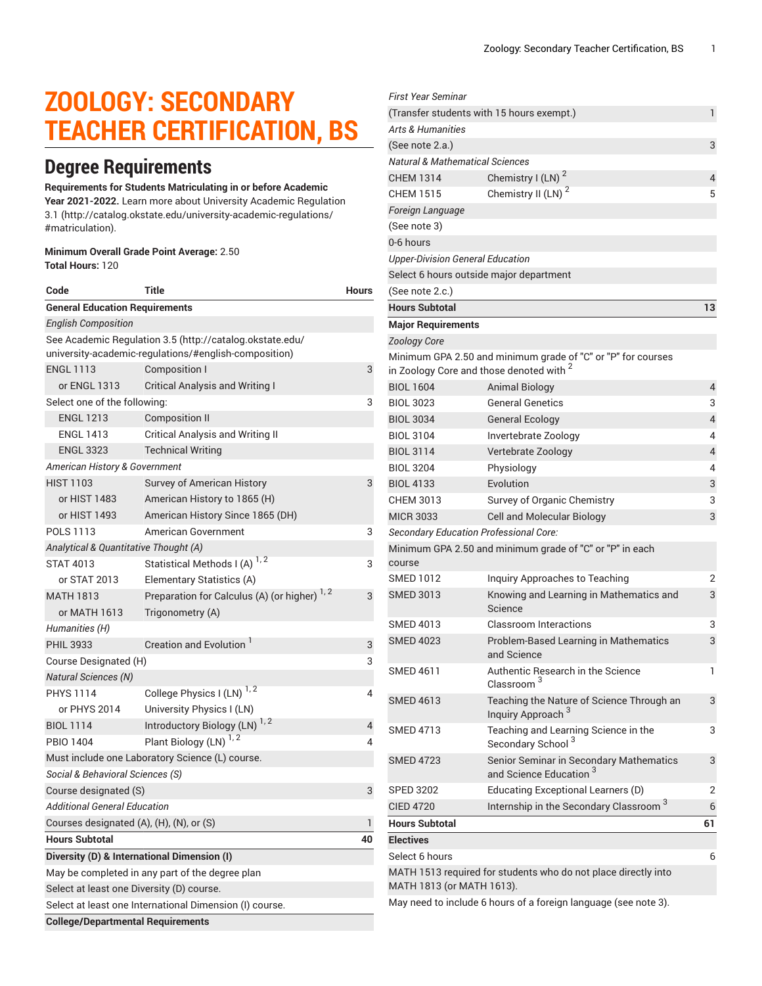# **ZOOLOGY: SECONDARY TEACHER CERTIFICATION, BS**

### **Degree Requirements**

#### **Requirements for Students Matriculating in or before Academic**

**Year 2021-2022.** Learn more about University Academic [Regulation](http://catalog.okstate.edu/university-academic-regulations/#matriculation) [3.1](http://catalog.okstate.edu/university-academic-regulations/#matriculation) ([http://catalog.okstate.edu/university-academic-regulations/](http://catalog.okstate.edu/university-academic-regulations/#matriculation) [#matriculation\)](http://catalog.okstate.edu/university-academic-regulations/#matriculation).

#### **Minimum Overall Grade Point Average:** 2.50 **Total Hours:** 120

| Code                                                                                                              | Title                                                    | Hours |  |  |
|-------------------------------------------------------------------------------------------------------------------|----------------------------------------------------------|-------|--|--|
| <b>General Education Requirements</b>                                                                             |                                                          |       |  |  |
| <b>English Composition</b>                                                                                        |                                                          |       |  |  |
| See Academic Regulation 3.5 (http://catalog.okstate.edu/<br>university-academic-regulations/#english-composition) |                                                          |       |  |  |
| <b>ENGL 1113</b>                                                                                                  | Composition I                                            | 3     |  |  |
| or ENGL 1313                                                                                                      | <b>Critical Analysis and Writing I</b>                   |       |  |  |
| Select one of the following:<br>3                                                                                 |                                                          |       |  |  |
| <b>ENGL 1213</b>                                                                                                  | Composition II                                           |       |  |  |
| <b>ENGL 1413</b>                                                                                                  | <b>Critical Analysis and Writing II</b>                  |       |  |  |
| <b>ENGL 3323</b>                                                                                                  | <b>Technical Writing</b>                                 |       |  |  |
| American History & Government                                                                                     |                                                          |       |  |  |
| <b>HIST 1103</b>                                                                                                  | Survey of American History                               | 3     |  |  |
| or HIST 1483                                                                                                      | American History to 1865 (H)                             |       |  |  |
| or HIST 1493                                                                                                      | American History Since 1865 (DH)                         |       |  |  |
| <b>POLS 1113</b>                                                                                                  | American Government                                      | 3     |  |  |
| Analytical & Quantitative Thought (A)                                                                             |                                                          |       |  |  |
| <b>STAT 4013</b>                                                                                                  | Statistical Methods I (A) <sup>1, 2</sup>                | 3     |  |  |
| or STAT 2013                                                                                                      | Elementary Statistics (A)                                |       |  |  |
| <b>MATH 1813</b>                                                                                                  | Preparation for Calculus (A) (or higher) <sup>1, 2</sup> | 3     |  |  |
| or MATH 1613                                                                                                      | Trigonometry (A)                                         |       |  |  |
| Humanities (H)                                                                                                    |                                                          |       |  |  |
| <b>PHIL 3933</b>                                                                                                  | Creation and Evolution <sup>1</sup>                      | 3     |  |  |
| Course Designated (H)                                                                                             |                                                          |       |  |  |
| <b>Natural Sciences (N)</b>                                                                                       |                                                          |       |  |  |
| <b>PHYS 1114</b>                                                                                                  | College Physics I (LN) <sup>1, 2</sup>                   | 4     |  |  |
| or PHYS 2014                                                                                                      | University Physics I (LN)                                |       |  |  |
| <b>BIOL 1114</b>                                                                                                  | Introductory Biology (LN) <sup>1, 2</sup>                | 4     |  |  |
| <b>PBIO 1404</b>                                                                                                  | Plant Biology (LN) <sup>1, 2</sup>                       | 4     |  |  |
| Must include one Laboratory Science (L) course.                                                                   |                                                          |       |  |  |
| Social & Behavioral Sciences (S)                                                                                  |                                                          |       |  |  |
| 3<br>Course designated (S)                                                                                        |                                                          |       |  |  |
| <b>Additional General Education</b>                                                                               |                                                          |       |  |  |
| Courses designated (A), (H), (N), or (S)                                                                          |                                                          |       |  |  |
| <b>Hours Subtotal</b>                                                                                             |                                                          |       |  |  |
| Diversity (D) & International Dimension (I)                                                                       |                                                          |       |  |  |
| May be completed in any part of the degree plan                                                                   |                                                          |       |  |  |
| Select at least one Diversity (D) course.                                                                         |                                                          |       |  |  |
| Select at least one International Dimension (I) course.                                                           |                                                          |       |  |  |
| <b>College/Departmental Requirements</b>                                                                          |                                                          |       |  |  |

| First Year Seminar                         |                                                                                                                     |                |  |  |
|--------------------------------------------|---------------------------------------------------------------------------------------------------------------------|----------------|--|--|
|                                            | (Transfer students with 15 hours exempt.)                                                                           | 1              |  |  |
| Arts & Humanities                          |                                                                                                                     |                |  |  |
| (See note 2.a.)                            |                                                                                                                     | 3              |  |  |
| <b>Natural &amp; Mathematical Sciences</b> |                                                                                                                     |                |  |  |
| <b>CHEM 1314</b>                           | Chemistry I (LN) <sup>2</sup>                                                                                       | 4              |  |  |
| <b>CHEM 1515</b>                           | Chemistry II (LN) <sup>2</sup>                                                                                      | 5              |  |  |
| Foreign Language                           |                                                                                                                     |                |  |  |
| (See note 3)                               |                                                                                                                     |                |  |  |
| 0-6 hours                                  |                                                                                                                     |                |  |  |
| <b>Upper-Division General Education</b>    |                                                                                                                     |                |  |  |
|                                            | Select 6 hours outside major department                                                                             |                |  |  |
| (See note 2.c.)                            |                                                                                                                     |                |  |  |
| <b>Hours Subtotal</b>                      |                                                                                                                     | 13             |  |  |
| <b>Major Requirements</b>                  |                                                                                                                     |                |  |  |
| <b>Zoology Core</b>                        |                                                                                                                     |                |  |  |
|                                            | Minimum GPA 2.50 and minimum grade of "C" or "P" for courses<br>in Zoology Core and those denoted with <sup>2</sup> |                |  |  |
| <b>BIOL 1604</b>                           | <b>Animal Biology</b>                                                                                               | 4              |  |  |
| <b>BIOL 3023</b>                           | <b>General Genetics</b>                                                                                             | 3              |  |  |
| <b>BIOL 3034</b>                           | <b>General Ecology</b>                                                                                              | $\overline{4}$ |  |  |
| <b>BIOL 3104</b>                           | Invertebrate Zoology                                                                                                | 4              |  |  |
| <b>BIOL 3114</b>                           | Vertebrate Zoology                                                                                                  | 4              |  |  |
| <b>BIOL 3204</b>                           | Physiology                                                                                                          | 4              |  |  |
| <b>BIOL 4133</b>                           | Evolution                                                                                                           | 3              |  |  |
| <b>CHEM 3013</b>                           | Survey of Organic Chemistry                                                                                         | 3              |  |  |
| <b>MICR 3033</b>                           | Cell and Molecular Biology                                                                                          | 3              |  |  |
|                                            | Secondary Education Professional Core:                                                                              |                |  |  |
| course                                     | Minimum GPA 2.50 and minimum grade of "C" or "P" in each                                                            |                |  |  |
| <b>SMED 1012</b>                           | Inquiry Approaches to Teaching                                                                                      | 2              |  |  |
| <b>SMED 3013</b>                           | Knowing and Learning in Mathematics and<br>Science                                                                  | 3              |  |  |
| SMED 4013                                  | Classroom Interactions                                                                                              | 3              |  |  |
| <b>SMED 4023</b>                           | Problem-Based Learning in Mathematics<br>and Science                                                                | 3              |  |  |
| <b>SMED 4611</b>                           | Authentic Research in the Science<br>Classroom <sup>3</sup>                                                         | 1              |  |  |
| <b>SMED 4613</b>                           | Teaching the Nature of Science Through an<br>Inquiry Approach <sup>3</sup>                                          | 3              |  |  |
| <b>SMED 4713</b>                           | Teaching and Learning Science in the<br>Secondary School <sup>3</sup>                                               | 3              |  |  |
| <b>SMED 4723</b>                           | Senior Seminar in Secondary Mathematics<br>and Science Education <sup>3</sup>                                       | 3              |  |  |
| <b>SPED 3202</b>                           | Educating Exceptional Learners (D)                                                                                  | 2              |  |  |
| <b>CIED 4720</b>                           | Internship in the Secondary Classroom <sup>3</sup>                                                                  | 6              |  |  |
| <b>Hours Subtotal</b>                      |                                                                                                                     | 61             |  |  |
| <b>Electives</b>                           |                                                                                                                     |                |  |  |
| Select 6 hours                             |                                                                                                                     | 6              |  |  |
| MATH 1813 (or MATH 1613).                  | MATH 1513 required for students who do not place directly into                                                      |                |  |  |
|                                            | May need to include 6 hours of a foreign language (see note 3).                                                     |                |  |  |